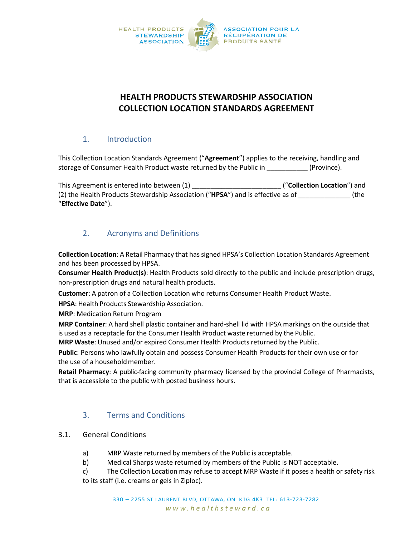

# **HEALTH PRODUCTS STEWARDSHIP ASSOCIATION COLLECTION LOCATION STANDARDS AGREEMENT**

### 1. Introduction

This Collection Location Standards Agreement ("**Agreement**") applies to the receiving, handling and storage of Consumer Health Product waste returned by the Public in \_\_\_\_\_\_\_\_\_\_\_ (Province).

This Agreement is entered into between (1) **This Agreement is entered into between** (1) (2) the Health Products Stewardship Association ("**HPSA**") and is effective as of \_\_\_\_\_\_\_\_\_\_\_\_\_\_ (the "**Effective Date**").

## 2. Acronyms and Definitions

**Collection Location**: A Retail Pharmacy that has signed HPSA's Collection Location Standards Agreement and has been processed by HPSA.

**Consumer Health Product(s)**: Health Products sold directly to the public and include prescription drugs, non-prescription drugs and natural health products.

**Customer**: A patron of a Collection Location who returns Consumer Health Product Waste.

**HPSA**: Health Products Stewardship Association.

**MRP**: Medication Return Program

**MRP Container**: A hard shell plastic container and hard-shell lid with HPSA markings on the outside that is used as a receptacle for the Consumer Health Product waste returned by the Public.

**MRP Waste**: Unused and/or expired Consumer Health Products returned by the Public.

**Public**: Persons who lawfully obtain and possess Consumer Health Products for their own use or for the use of a householdmember.

**Retail Pharmacy**: A public-facing community pharmacy licensed by the provincial College of Pharmacists, that is accessible to the public with posted business hours.

### 3. Terms and Conditions

### 3.1. General Conditions

- a) MRP Waste returned by members of the Public is acceptable.
- b) Medical Sharps waste returned by members of the Public is NOT acceptable.
- c) The Collection Location may refuse to accept MRP Waste if it poses a health or safety risk to its staff (i.e. creams or gels in Ziploc).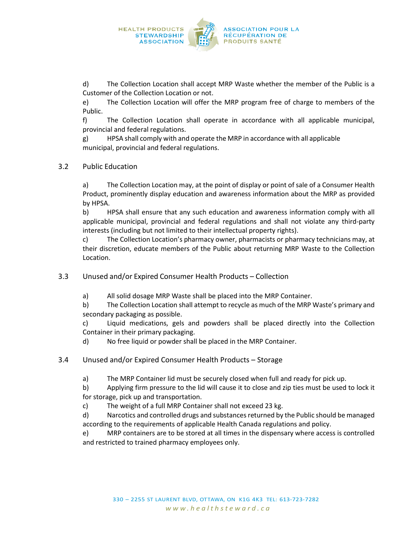

d) The Collection Location shall accept MRP Waste whether the member of the Public is a Customer of the Collection Location or not.

e) The Collection Location will offer the MRP program free of charge to members of the Public.

f) The Collection Location shall operate in accordance with all applicable municipal, provincial and federal regulations.

g) HPSA shall comply with and operate the MRP in accordance with all applicable municipal, provincial and federal regulations.

3.2 Public Education

a) The Collection Location may, at the point of display or point of sale of a Consumer Health Product, prominently display education and awareness information about the MRP as provided by HPSA.

b) HPSA shall ensure that any such education and awareness information comply with all applicable municipal, provincial and federal regulations and shall not violate any third-party interests (including but not limited to their intellectual property rights).

c) The Collection Location's pharmacy owner, pharmacists or pharmacy technicians may, at their discretion, educate members of the Public about returning MRP Waste to the Collection Location.

3.3 Unused and/or Expired Consumer Health Products – Collection

a) All solid dosage MRP Waste shall be placed into the MRP Container.

b) The Collection Location shall attempt to recycle as much of the MRP Waste's primary and secondary packaging as possible.

c) Liquid medications, gels and powders shall be placed directly into the Collection Container in their primary packaging.

d) No free liquid or powder shall be placed in the MRP Container.

- 3.4 Unused and/or Expired Consumer Health Products Storage
	- a) The MRP Container lid must be securely closed when full and ready for pick up.

b) Applying firm pressure to the lid will cause it to close and zip ties must be used to lock it for storage, pick up and transportation.

c) The weight of a full MRP Container shall not exceed 23 kg.

d) Narcotics and controlled drugs and substances returned by the Public should be managed according to the requirements of applicable Health Canada regulations and policy.

e) MRP containers are to be stored at all times in the dispensary where access is controlled and restricted to trained pharmacy employees only.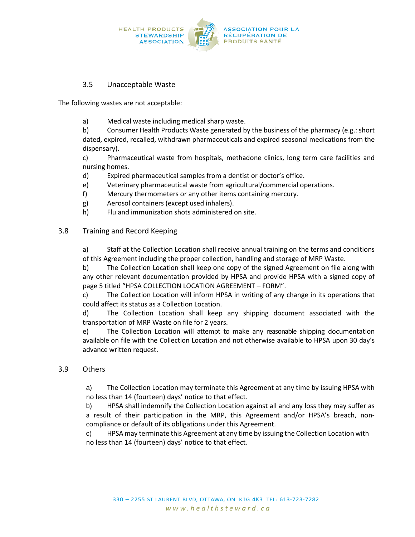

### 3.5 Unacceptable Waste

The following wastes are not acceptable:

a) Medical waste including medical sharp waste.

b) Consumer Health Products Waste generated by the business of the pharmacy (e.g.: short dated, expired, recalled, withdrawn pharmaceuticals and expired seasonal medications from the dispensary).

c) Pharmaceutical waste from hospitals, methadone clinics, long term care facilities and nursing homes.

- d) Expired pharmaceutical samples from a dentist or doctor's office.
- e) Veterinary pharmaceutical waste from agricultural/commercial operations.
- f) Mercury thermometers or any other items containing mercury.
- g) Aerosol containers (except used inhalers).
- h) Flu and immunization shots administered on site.

#### 3.8 Training and Record Keeping

a) Staff at the Collection Location shall receive annual training on the terms and conditions of this Agreement including the proper collection, handling and storage of MRP Waste.

b) The Collection Location shall keep one copy of the signed Agreement on file along with any other relevant documentation provided by HPSA and provide HPSA with a signed copy of page 5 titled "HPSA COLLECTION LOCATION AGREEMENT – FORM".

c) The Collection Location will inform HPSA in writing of any change in its operations that could affect its status as a Collection Location.

d) The Collection Location shall keep any shipping document associated with the transportation of MRP Waste on file for 2 years.

e) The Collection Location will attempt to make any reasonable shipping documentation available on file with the Collection Location and not otherwise available to HPSA upon 30 day's advance written request.

#### 3.9 Others

a) The Collection Location may terminate this Agreement at any time by issuing HPSA with no less than 14 (fourteen) days' notice to that effect.

b) HPSA shall indemnify the Collection Location against all and any loss they may suffer as a result of their participation in the MRP, this Agreement and/or HPSA's breach, noncompliance or default of its obligations under this Agreement.

c) HPSA may terminate this Agreement at any time by issuing the Collection Location with no less than 14 (fourteen) days' notice to that effect.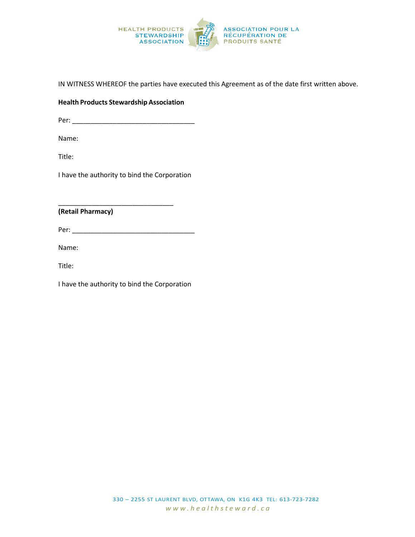

IN WITNESS WHEREOF the parties have executed this Agreement as of the date first written above.

#### **Health Products Stewardship Association**

Per: \_\_\_\_\_\_\_\_\_\_\_\_\_\_\_\_\_\_\_\_\_\_\_\_\_\_\_\_\_\_\_\_\_

Name:

Title:

I have the authority to bind the Corporation

\_\_\_\_\_\_\_\_\_\_\_\_\_\_\_\_\_\_\_\_\_\_\_\_\_\_\_\_\_\_\_

**(Retail Pharmacy)**

Per: \_\_\_\_\_\_\_\_\_\_\_\_\_\_\_\_\_\_\_\_\_\_\_\_\_\_\_\_\_\_\_\_\_

Name:

Title:

I have the authority to bind the Corporation